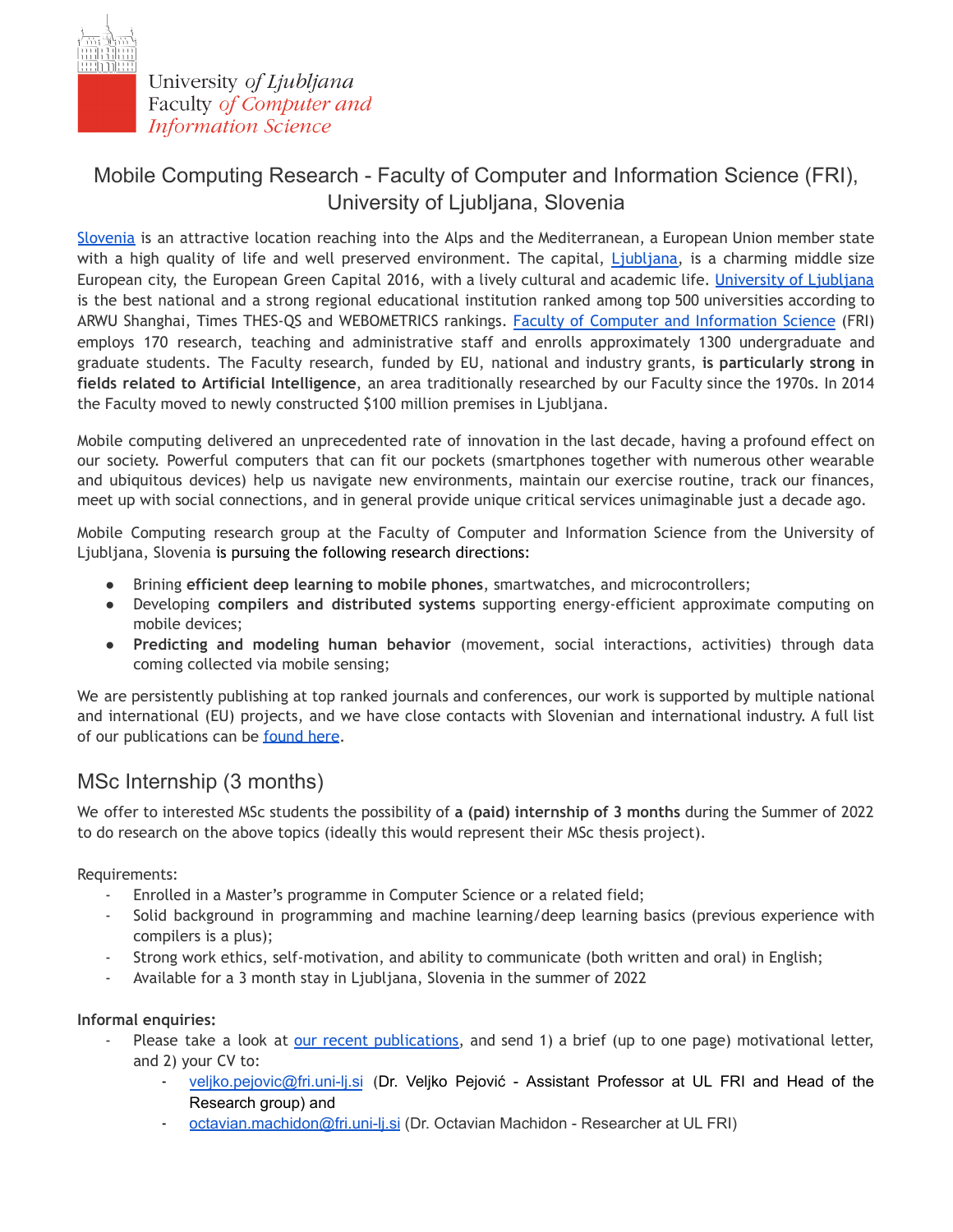

University of Ljubljana Faculty of Computer and **Information Science** 

# Mobile Computing Research - Faculty of Computer and Information Science (FRI), University of Ljubljana, Slovenia

[Slovenia](https://www.slovenia.info/en/plan-your-trip/facts-about-slovenia) is an attractive location reaching into the Alps and the Mediterranean, a European Union member state with a high quality of life and well preserved environment. The capital, [Ljubljana,](https://www.slovenia.info/en/places-to-go/cities/ljubljana) is a charming middle size European city, the European Green Capital 2016, with a lively cultural and academic life. [University](https://www.uni-lj.si/eng/) of Ljubljana is the best national and a strong regional educational institution ranked among top 500 universities according to ARWU Shanghai, Times THES-QS and WEBOMETRICS rankings. Faculty of Computer and [Information](https://fri.uni-lj.si/en/about) Science (FRI) employs 170 research, teaching and administrative staff and enrolls approximately 1300 undergraduate and graduate students. The Faculty research, funded by EU, national and industry grants, **is particularly strong in fields related to Artificial Intelligence**, an area traditionally researched by our Faculty since the 1970s. In 2014 the Faculty moved to newly constructed \$100 million premises in Ljubljana.

Mobile computing delivered an unprecedented rate of innovation in the last decade, having a profound effect on our society. Powerful computers that can fit our pockets (smartphones together with numerous other wearable and ubiquitous devices) help us navigate new environments, maintain our exercise routine, track our finances, meet up with social connections, and in general provide unique critical services unimaginable just a decade ago.

Mobile Computing research group at the Faculty of Computer and Information Science from the University of Ljubljana, Slovenia is pursuing the following research directions:

- Brining **efficient deep learning to mobile phones**, smartwatches, and microcontrollers;
- Developing **compilers and distributed systems** supporting energy-efficient approximate computing on mobile devices;
- **Predicting and modeling human behavior** (movement, social interactions, activities) through data coming collected via mobile sensing;

We are persistently publishing at top ranked journals and conferences, our work is supported by multiple national and international (EU) projects, and we have close contacts with Slovenian and international industry. A full list of our publications can be [found](http://lrss.fri.uni-lj.si/Veljko/publications.html) here.

## MSc Internship (3 months)

We offer to interested MSc students the possibility of **a (paid) internship of 3 months** during the Summer of 2022 to do research on the above topics (ideally this would represent their MSc thesis project).

### Requirements:

- Enrolled in a Master's programme in Computer Science or a related field;
- Solid background in programming and machine learning/deep learning basics (previous experience with compilers is a plus);
- Strong work ethics, self-motivation, and ability to communicate (both written and oral) in English;
- Available for a 3 month stay in Ljubljana, Slovenia in the summer of 2022

#### **Informal enquiries:**

- Please take a look at our recent [publications,](http://lrss.fri.uni-lj.si/Veljko/publications.html) and send 1) a brief (up to one page) motivational letter, and 2) your CV to:
	- [veljko.pejovic@fri.uni-lj.si](mailto:veljko.pejovic@fri.uni-lj.si) (Dr. Veljko Pejović Assistant Professor at UL FRI and Head of the Research group) and
	- [octavian.machidon@fri.uni-lj.si](mailto:octavian.machidon@fri.uni-lj.si) (Dr. Octavian Machidon Researcher at UL FRI)